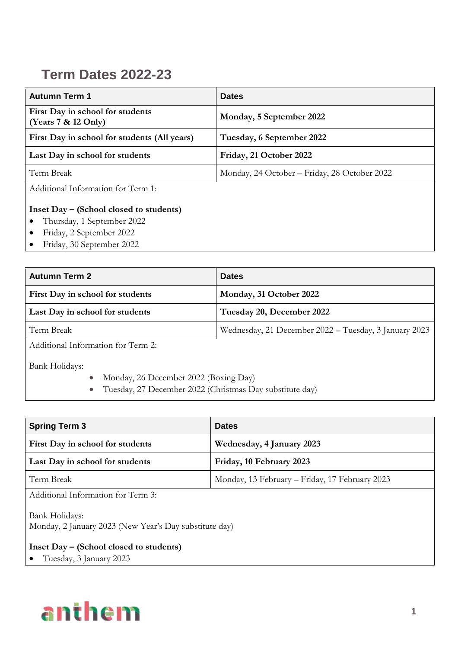## **Term Dates 2022-23**

| <b>Autumn Term 1</b>                                                           | <b>Dates</b>                                 |
|--------------------------------------------------------------------------------|----------------------------------------------|
| First Day in school for students<br>(Years 7 & 12 Only)                        | Monday, 5 September 2022                     |
| First Day in school for students (All years)                                   | Tuesday, 6 September 2022                    |
| Last Day in school for students                                                | Friday, 21 October 2022                      |
| Term Break                                                                     | Monday, 24 October – Friday, 28 October 2022 |
| Additional Information for Term 1:                                             |                                              |
| Inset Day – (School closed to students)<br>$\bullet$ Thursday 1 September 2022 |                                              |

- Thursday, 1 September 2022
- Friday, 2 September 2022
- Friday, 30 September 2022

| <b>Autumn Term 2</b>               | <b>Dates</b>                                          |
|------------------------------------|-------------------------------------------------------|
| First Day in school for students   | Monday, 31 October 2022                               |
| Last Day in school for students    | Tuesday 20, December 2022                             |
| Term Break                         | Wednesday, 21 December 2022 – Tuesday, 3 January 2023 |
| Additional Information for Torm 2. |                                                       |

Additional Information for Term 2:

Bank Holidays:

- Monday, 26 December 2022 (Boxing Day)
- Tuesday, 27 December 2022 (Christmas Day substitute day)

| <b>Spring Term 3</b>                                                     | <b>Dates</b>                                   |
|--------------------------------------------------------------------------|------------------------------------------------|
| First Day in school for students                                         | Wednesday, 4 January 2023                      |
| Last Day in school for students                                          | Friday, 10 February 2023                       |
| Term Break                                                               | Monday, 13 February – Friday, 17 February 2023 |
| Additional Information for Term 3:                                       |                                                |
| Bank Holidays:<br>Monday, 2 January 2023 (New Year's Day substitute day) |                                                |
| Inset Day – (School closed to students)                                  |                                                |

Tuesday, 3 January 2023